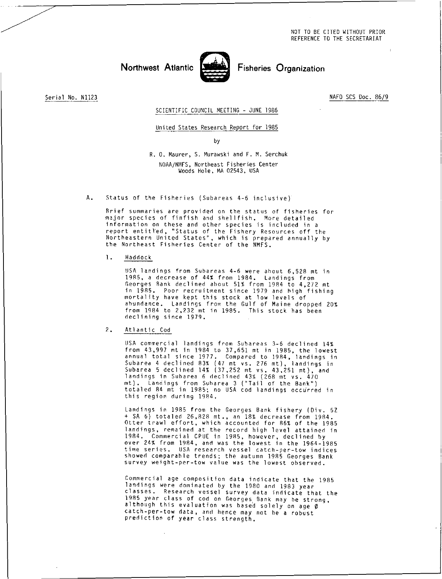NOT TO BE CITED WITHOUT PRIOR REFERENCE TO THE SECRETARIAT

# Northwest Atlantic **Fisheries** Organization



Serial No. N1123 NAFO SCS Doc. 86/9

### SCIENTIFIC COUNCIL MEETING - JUNE 1986

#### United States Research Report for 1985

by

R. O. Maurer, S. Murawski and F. M. Serchuk

NOAA/NMFS, Northeast Fisheries Center Woods Hole, MA 02543, USA

A. Status of the Fisheries (Subareas 4-6 inclusive)

Brief summaries are provided on the status of fisheries for major species of finfish and shellfish. More detailed information on these and other species is included in a report entitled, "Status of the Fishery Resources off the Northeastern United States", which is prepared annually by the Northeast Fisheries Center of the NMFS.

1. Haddock

USA landings from Subareas 4-6 were ahout 6,528 mt in 1985, a decrease of 44% from 1984. Landings from Georges Rank declined about 51% from 1984 to 4,272 mt in 1985. Poor recruitment since 1979 and high fishing mortality have kept this stock at low levels of abundance. Landings from the Gulf of Maine dropped 20% from 1984 to 2,232 mt in 1985. This stock has been declining since 1979.

2. Atlantic Cod

USA commercial landings from Subareas 3-6 declined 14% from 43,997 mt in 1984 to 37,651 mt in 1985, the lowest annual total since 1977. Compared to 1984, landings in Subarea 4 declined 83% (47 mt vs. 276 mt), landings in Subarea 5 declined 14% (37,252 mt vs. 43,251 mt), and landings in Subarea 6 declined 43% (268 mt vs. 470 mt). Landings from Subarea 3 ("Tail of the Bank") totaled 84 mt in 1985; no USA cod landings occurred in this region during 1984.

Landings in 1985 from the Georges Bank fishery (Div. 5Z + SA 6) totaled 26,828 mt., an 18% decrease from 1984. Otter trawl effort, which accounted for 86% of the 1985 landings, remained at the record high level attained in 1984. Commercial CPUE in 1985, however, declined by over 24% from 1984, and was the lowest in the 1964-1985 time series. USA research vessel catch-per-tow indices showed comparable trends; the autumn 1985 Georges Bank survey weight-per-tow value was the lowest observed.

Commercial age composition data indicate that the 1985 landings were dominated by the 1980 and 1983 year classes. Research vessel survey data indicate that the 1985 year class of cod on Georges Bank may be strong, although this evaluation was based solely on age *<sup>0</sup>* catch-per-tow data, and hence may not he a robust prediction of year class strength.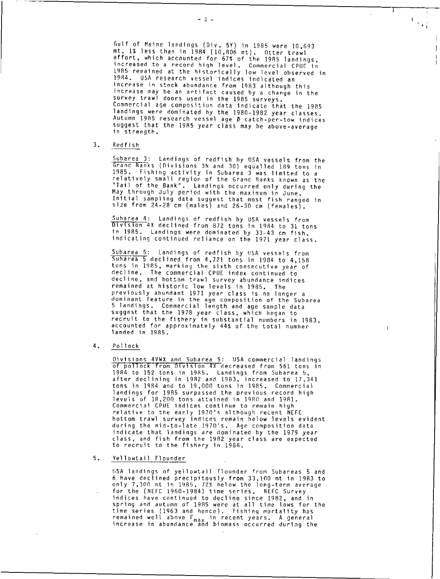Gulf of Maine landings (Div. 5Y) in 1985 were 10,693 mt, 1% less than in 1984 (10,806 mt). Otter trawl effort, which accounted for 67% of the 1985 landings, increased to a record high level. Commercial CPUE in 1985 remained at the historically low level observed in 1984. USA research vessel indices indicated an increase in stock abundance from 1983 although this increase may be an artifact caused by a change in the survey trawl doors used in the 1985 surveys. Commercial age composition data indicate that the 1985 landings were dominated by the 1980-1982 year classes. Autumn 1985 research vessel age 0 catch-per-tow indices suggest that the 1985 year class may be above-average in strength.

 $\mathcal{F} \in \mathcal{F}$ 

 $\mathbf{I}$ 

3. Redfish

Subarea 3: Landings of redfish by USA vessels from the Grand Banks (Divisions 3N and 30) equalled 189 tons in 1985. Fishing activity in Subarea 3 was limited to a relatively small region of the Grand Banks known as the "Tail of the Bank". Landings occurred only during the May through July period with the maximum in June. Initial sampling data suggest that most fish ranged in size from 24-28 cm (males) and 26-30 cm (females).

Suharea 4: Landings of redfish by USA vessels from Division 4X declined from 872 tons in 1984 to 31 tons in 1985. Landings were dominated by 33-43 cm fish, indicating continued reliance on the 1971 year class.

Subarea 5: Landings of redfish by USA vessels from Subarea 5 declined from 4,721 tons in 1984 to 4,158 tons in 1985, marking the sixth consecutive year of decline. The commercial CPUE index continued to decline, and bottom trawl survey abundance indices remained at historic low levels in 1985. The previously abundant 1971 year class is no longer a dominant feature in the age composition of the Subarea 5 landings. Commercial length and age sample data suggest that the 1978 year class, which began to recruit to the fishery in substantial numbers in 1983, accounted for approximately 44% of the total number landed in 1985.

4. Pollock

Divisions 4VWX and Subarea 5: USA commercial landings of pollock from Division 4X decreased from 561 tons in 1984 to 152 tons in 1985. Landings from Subarea 5, after declining in 1982 and 1983, increased to 17,341 tons in 1984 and to 19,000 tons in 1985. Commercial landings for 1985 surpassed the previous record high levels of 18,200 tons attained in 1980 and 1981. Commercial CPUE indices continue to remain high relative to the early 1970's although recent NEFC hottom trawl survey indices remain below levels evident during the mid-to-late 1970's. Age composition data indicate that landings are dominated by the 1979 year class, and fish from the 1982 year class are expected to recruit to the fishery in 1986.

5. Yellowtail Flounder

USA landings of yellowtail flounder from Subareas 5 and 6 have declined precipitously from 33,100 mt in 1983 to only 7,300 mt in 1985, 72% below the long-term average for the (NEFC 1960-1984) time series. NEFC Survey indices have continued to decline since 1982, and in spring and autumn of 1985 were at all time lows for the time series (1963 and hence). Fishing mortality has remained well above F<sub>max</sub> in recent years. A general<br>increase in abundance and biomass occurred during the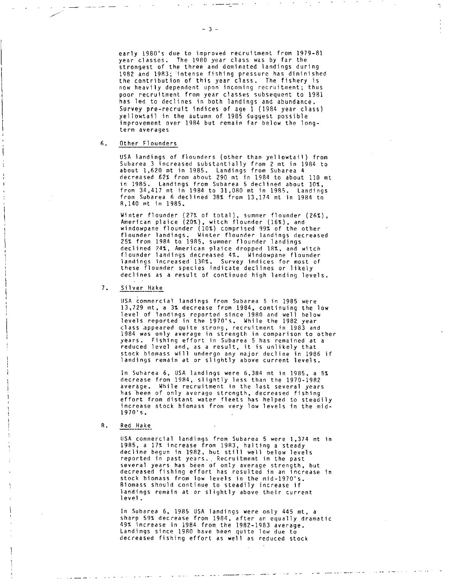early 1980's due to improved recruitment from 1979-81 year classes. The 1980 year class was by far the strongest of the three and dominated landings during 1982 and 1983; intense fishing pressure has diminished the contribution of this year class. The fishery is now heavily dependent upon incoming recruitment; thus poor recruitment from year classes subsequent to 1981 has led to declines in both landings and abundance. Survey pre-recruit indices of age 1 (1984 year class) yellowtail in the autumn of 1985 Suggest possible improvement over 1984 but remain far below the longterm averages

### 6. Other Flounders

USA landings of flounders (other than yellowtail) from Subarea 3 increased substantially from 2 mt in 1984 to about 1,620 mt in 1985. Landings from Subarea 4 decreased 62% from about 290 mt in 1984 to about 110 mt in 1985. Landings from Subarea 5 declined about 10%, from 34,417 mt in 1984 to 31,080 mt in 1985. Landings from Subarea 6 declined 38% from 13,174 mt in 1984 to 8,140 mt in 1985.

Winter flounder (27% of total), summer flounder (26%), American plaice (20%), witch flounder (16%), and windowpane flounder (10%) comprised 99% of the other flounder landings. Winter flounder landings decreased 25% from 1984 to 1985, summer flounder landings declined 24%, American plaice dropped 18%, and witch flounder landings decreased 4%. Windowpane flounder landings increased 130%. Survey indices for most of these flounder species indicate declines or likely declines as a result of continued high landing levels.

#### 7. Silver Hake

USA commercial landings from Subarea 5 in 1985 were 13,729 mt, a 3% decrease from 1984, continuing the low level of landings reported since 1980 and well below levels reported in the 1970's. While the 1982 year class appeared quite strong, recruitment in 1983 and 1984 was only average in strength in comparison to other years. Fishing effort in Subarea 5 has remained at a reduced level and, as a result, it is unlikely that stock biomass will undergo any major decline in 1986 if landings remain at or slightly above current levels.

In Subarea 6, USA landings were 6,384 mt in 1985, a 5% decrease from 1984, slightly less than the 1970-1982 average. While recruitment in the last several years has been of only average strength, decreased fishing effort from distant water fleets has helped to steadily increase stock biomass from very low levels in the mid-<br>1970's.

#### R. Red Hake

USA commercial landings from Subarea 5 were 1,374 mt in 1985, a 17% increase from 1983, halting a steady decline begun in 1982, but still well below levels reported in past years.. Recruitment in the past several years has been of only average strength, but decreased fishing effort has resulted in an increase in stock biomass from low levels in the mid-1970's. Biomass should continue to steadily increase if landings remain at or slightly above their current level.

In Subarea 6, 1985 USA landings were only 445 mt, a sharp 59% decrease from 1984, after an equally dramatic 49% increase in 1984 from the 1982-1983 average. Landings since 1980 have been quite low due to decreased fishing effort as well as reduced stock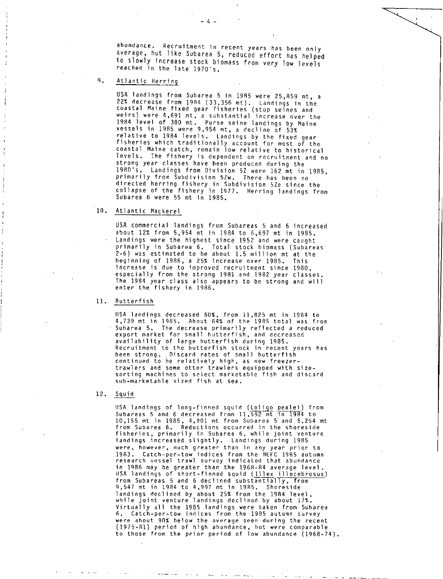abundance. Recruitment in recent years has been only average, but like Subarea 5, reduced effort has helped to slowly increase stock biomass from very low levels reached in the late 1970's.

# 9. Atlantic Herring

USA landings from Subarea 5 in 1985 were 25,859 mt, a 22% decrease from 1984 (33,356 mt). Landings in the coastal Maine fixed gear fisheries (stop seines and weirs) were 4,691 mt, a substantial increase over the 1984 level of 380 mt. Purse seine landings by Maine vessels in 1985 were 9,954 mt, a decline of 53% relative to 1984 levels. Landings by the fixed gear fisheries which traditionally account for most of the coastal Maine catch, remain low relative to historical levels. The fishery is dependent on recruitment and no strong year classes have been produced during the 1980's. Landings from Division 5Z were 162 mt in 1985, primarily from Subdivision 5Zw. There has been no directed herring fishery in Subdivision 5Ze since the collapse of the fishery in 1977. Herring landings from Subarea 6 were 55 mt in 1985.

# 10. Atlantic Mackerel

USA commercial landings from Subareas 5 and 6 increased about 12% from 5,954 mt in 1984 to 6,697 mt in 1985. Landings were the highest since 1952 and were caught primarily in Subarea 6. Total stock biomass (Subareas 2-6) was estimated to be about 1.5 million mt at the beginning of 1986, a 25% increase over 1985. This increase is due to improved recruitment since 1980, especially from the strong 1981 and 1982 year classes. The 1984 year class also appears to be strong and will enter the fishery in 1986.

# 11. Butterfish

USA landings decreased 60%, from 11,825 mt in 1984 to 4,739 mt in 1985. About 64% of the 1985 total was from Subarea 5. The decrease primarily reflected a reduced export market for small hutterfish, and decreased availability of large hutterfish during 1985. Recruitment to the hutterfish stock in recent years has been strong. Discard rates of small butterfish continued to he relatively high, as new freezertrawlers and some otter trawlers equipped with sizesorting machines to select marketable fish and discard sub-marketable sized fish at sea.

#### 12. Squid

USA landings of long-finned squid (Loliqo pealei) from Subareas 5 and 6 decreased from 11,592 mt in 1984 to 10,155 mt in 1985, 4,901 mt from Subarea 5 and 5,254 mt from Subarea 6. Reductions occurred in the shoreside fisheries, primarily in Subarea 6, while joint venture landings increased slightly. Landings during 1985 were, however, much greater than in any year prior to 1983. Catch-per-tow indices from the NEFC 1985 autumn research vessel trawl survey indicated that abundance in 1986 may be greater than the 1968-84 average level. USA landings of short-finned squid (Illex illecebrosus) from Subareas 5 and 6 declined substantially, from 9,547 mt in 1984 to 4,997 mt in 1985. Shoreside landings declined by about 25% from the 1984 level, while joint venture landings declined by about 17%. Virtually all the 1985 landings were taken from Subarea 6. , Catch-per-tow indices from the 1985 autumn survey were about 90% below the average seen during the recent (1975-81) period of high abundance, but were comparable to those from the prior period of low abundance (1968-74).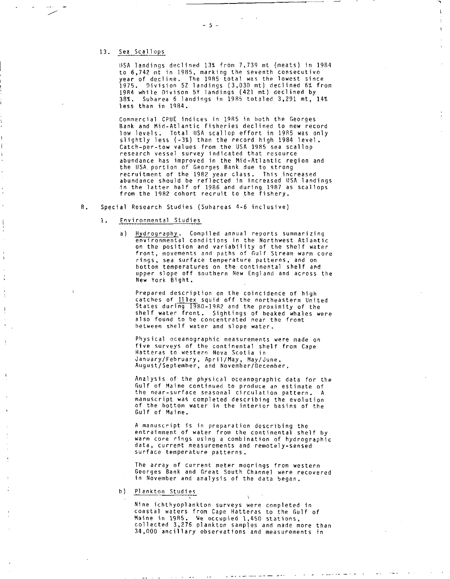### 13. Sea Scallops

OSA landings declined 13% from 7,739 mt (meats) in 1984 to 6,742 mt in 1985, marking the seventh consecutive year of decline. The 1985 total was the lowest since 1975. Division 5Z landings (3,030 mt) declined 6% from 1984 while Divison 5Y landings (421 mt) declined by 38%. Subarea 6 landings in 1985 totaled 3,291 mt, 14% less than in 1984.

Commercial CPUE indices in 1985 in both the Georges Bank and Mid-Atlantic fisheries declined to new record low levels. Total USA scallop effort in 1985 was only slightly less (-3%) than the record high 1984 level. Catch-per-tow values from the USA 1985 sea scallop research vessel survey indicated that resource abundance has improved in the Mid-Atlantic region and the USA. portion of Georges Bank due to strong recruitment of the 1982 year class. This increased abundance should be reflected in increased USA landings in the latter half of 1986 and during 1987 as scallops from the 1982 cohort recruit to the fishery.

- B. Special Research Studies (Subareas 4-6 inclusive)
	- 1. Environmental Studies
		- a) Hydrography. Compiled annual reports summarizing environmental conditions in the Northwest Atlantic on the position and variability of the shelf water front, movements and paths of Gulf Stream warm core rings, sea surface temperature patterns, and on bottom temperatures on the continental shelf and upper slope off southern New England and across the New York Bight.

Prepared description on the coincidence of high catches of Il lex squid off the northeastern United States during 1980-1982 and the proximity of the shelf water front. Sightings of beaked whales were also found to be concentrated near the front between shelf water and slope water.

Physical oceanographic measurements were made on five surveys of the continental shelf from Cape Hatteras to western Nova Scotia in January/February, April/May, May/June, August/September, and November/December.

Analysis of the physical oceanographic data for the Gulf of Maine continued to produce an estimate of the near-surface seasonal circulation pattern. A manuscript was completed describing the evolution of the bottom water in the interior basins of the Gulf of Maine.

A manuscript is in preparation describing the entrainment of water from the continental shelf by warm core rings using a combination of hydrographic data, current measurements and remotely-sensed surface temperature patterns.

The array of current meter moorings from western Georges Bank and Great South Channel were recovered in November and analysis of the data began.

b) Plankton Studies

Nine ichthyoplankton surveys were completed in coastal waters from Cape Hatteras to the Gulf of Maine in 1985. We occupied 1,450 stations, collected 3,276 plankton samples and made more than 34,000 ancillary observations and measurements in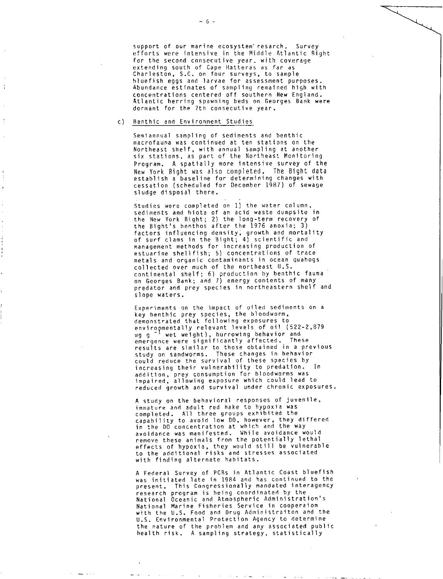support of our marine ecosystem' resarch. Survey efforts were intensive in the Middle Atlantic Right for the second consecutive year, with coverage extending south of Cape Hatteras as far as Charleston, S.C. on four surveys, to sample bluefish eggs and larvae for assessment purposes. Abundance estimates of sampling remained high with concentrations centered off southern New England. Atlantic herring spawning beds on Georges Bank were dormant for the 7th consecutive year.

### c) Benthic and Environment Studies

Semiannual sampling of sediments and benthic macrofauna was continued at ten stations on the Northeast shelf, with annual sampling at another six stations, as part of the Northeast Monitoring Program. A spatially more intensive survey of the New York Bight was also completed. The Bight data establish a baseline for determining changes with cessation (scheduled for December 1987) of sewage sludge disposal there.

Studies were completed on 1) the water column, sediments and biota of an acid waste dumpsite in the New York Bight; 2) the long-term recovery of the Bight's henthos after the 1976 anoxia; 3) factors influencing density; growth and mortality of surf clams in the Bight; 4) scientific and management methods for increasing production of estuarine shellfish; 5) concentrations of trace metals and organic contaminants in ocean quahogs collected over much of the northeast U.S. continental shelf; 6) production by benthic fauna on Georges Bank; and 7) energy contents of many predator and prey species in northeastern shelf and slope waters.

Experiments on the impact of oiled sediments on a key benthic prey species, the bloodworm, demonstrated that following exposures to enviro <sup>n</sup> mentally relevant levels of oil (522-2,879 ug g  $^{-1}$  wet weight), burrowing behavior and emergence were significantly affected. These results are similar to those obtained in a previous study on sandworms. These changes in behavior could reduce the survival of these species by increasing their vulnerability to predation. In addition, prey consumption for bloodworms was impaired, allowing exposure which could lead to reduced growth and survival under chronic exposures.

A study on the behavioral responses of juvenile, immature and adult red hake to hypoxia was completed. All three groups exhibited the capability to avoid low DO, however, they differed in the DO concentration at which and the way avoidance was manifested. While avoidance would remove these animals from the potentially lethal effects of hypoxia, they would still be vulnerable to the additional risks and stresses associated with finding alternate habitats.

A Federal Survey of PCBs in Atlantic Coast bluefish was initiated late in 1984 and has continued to the present. This Congressionally mandated interagency research program is being coordinated by the National Oceanic and Atmospheric Administration's National Marine Fisheries Service in cooperaion with the U.S. Food and Drug Administraiton and the U.S. Environmental Protection Agency to determine the nature of the problem and any associated public health risk. A sampling strategy, statistically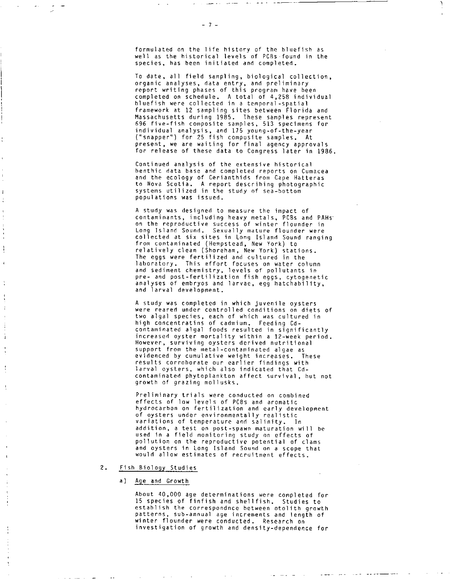formulated on the life history of the bluefish as well as the historical levels of PCBs found in the species, has been initiated and completed.

To date, all field sampling, biological collection, organic analyses, data entry, and preliminary report writing phases of this program have been completed on schedule. A total of 4,258 individual bluefish were collected in a temporal-spatial framework at 12 sampling sites between Florida and Massachusetts during 1985. These samples represent 696 five-fish composite samples, 513 specimens for individual analysis, and 175 young-of-the-year ("snapper") for 25 fish composite samples. At present, we are waiting for final agency approvals for release of these data to Congress later in 1986.

Continued analysis of the extensive historical henthic data base and completed reports on Cumacea and the ecology of Cerianthids from Cape Hatteras to Nova Scotia. A report describing photographic systems utilized in the study of sea-bottom populations was issued.

A study was designed to measure the impact of contaminants, including heavy metals, PCBs and PAHs• on the reproductive success of winter flounder in Long Island Sound. Sexually mature flounder were collected at six sites in Long Island Sound ranging from contaminated (Hempstead, New York) to relatively clean (Shoreham, New York) stations. The eggs were fertilized and cultured in the laboratory. This effort focuses on water column and sediment chemistry, levels of pollutants in pre- and post-fertilization fish eggs, cytogenetic analyses of embryos and larvae, egg hatchability, and larval development.

A study was completed in which juvenile oysters were reared under controlled conditions on diets of two algal species, each of which was cultured in high concentratins of cadmium. Feeding Cdcontaminated algal foods resulted in significantly increased oyster mortality within a 12-week period. However, surviving oysters derived nutritional support from the metal-contaminated algae as evidenced by cumulative weight increases. These results corroborate our earlier findings with larval oysters, which also indicated that Cdcontaminated phytoplankton affect survival, but not growth of grazing mollusks.

Preliminary trials were conducted on combined effects of low levels of PCBs and aromatic hydrocarbon on fertilization and early development of oysters under environmentally realistic variations of temperature and salinity. In addition, a test on post-spawn maturation will be used in a field monitoring study on effects of pollution on the reproductive potential of clams and oysters in Long Island Sound on a scope that would allow estimates of recruitment effects.

# 2. Fish Biology Studies

#### a) Age and Growth

About 40,000 age determinations were completed for 15 species of finfish and shellfish. Studies to establish the correspondnce between otolith growth patterns, sub-annual age increments and length of winter flounder were conducted. Research on investigation of growth and density-dependence for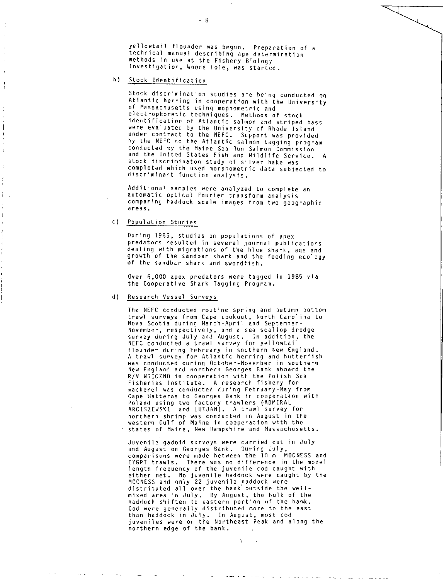yellowtail flounder was begun. Preparation of a technical manual describing age determination methods in use at the Fishery Biology Investigation, Woods Hole, was started.

h) Stock Identification

Stock discrimination studies are being conducted on Atlantic herring in cooperation with the University of Massachusetts using mophometric and electrophoretic techniques. Methods of stock identification of Atlantic salmon and striped bass were evaluated by the University of Rhode Island under contract to the NEFC. Support was provided by the NEFC to the Atlantic salmon tagging program conducted by the Maine Sea Run Salmon Commission and the United States Fish and Wildlife Service. stock discriminaton study of silver hake was completed which used morphometric data subjected to discriminant function analysis.

Additional samples were analyzed to complete an automatic optical Fourier transform analysis comparing haddock scale images from two geographic areas.

c) Population Studies

During 1985, studies on populations of apex predators resulted in several journal publications dealing with migrations of the blue shark, age and growth of the sandbar shark and the feeding ecology of the sandbar shark and swordfish.

Over 6,000 apex predators were tagged in 1985 via the Cooperative Shark Tagging Program.

d) Research Vessel Surveys

The NEFC conducted routine spring and autumn bottom trawl surveys from Cape Lookout, North Carolina to Nova Scotia during March-April and September-November, respectively, and a sea scallop dredge survey during July and August. In addition, the NEFC conducted a trawl survey for yellowtail flounder during February in southern New England. A trawl survey for Atlantic herring and butterfish was conducted during October-November in southern New England and northern Georges Bank aboard the R/V WIECZNO in cooperation with the Polish Sea Fisheries Institute. A research fishery for mackerel was conducted during February-May from Cape Hatteras to Georges Bank in cooperation with Poland using two factory trawlers (ADMIRAL ARCISZEWSKI and LUTJAN). A trawl survey for northern shrimp was conducted in August in the western Gulf of Maine in cooperation with the states of Maine, New Hampshire and Massachusetts.

Juvenile gadoid surveys were carried out in July and August on Georges Bank. During July, comparisons were made between the 10 m MOCNESS and IYGPT trawls. There was no difference in the model length frequency of the juvenile cod caught with either net. No juvenile haddock were caught by the MOCNESS and only 22 juvenile haddock were distributed all over the bank'outside the wellmixed area in July. By August, the hulk of the haddock shifted to eastern portion of the hank. Cod were generally distributed more to the east than haddock in July. In August, most cod juveniles were on the Northeast Peak and along the northern edge of the bank.